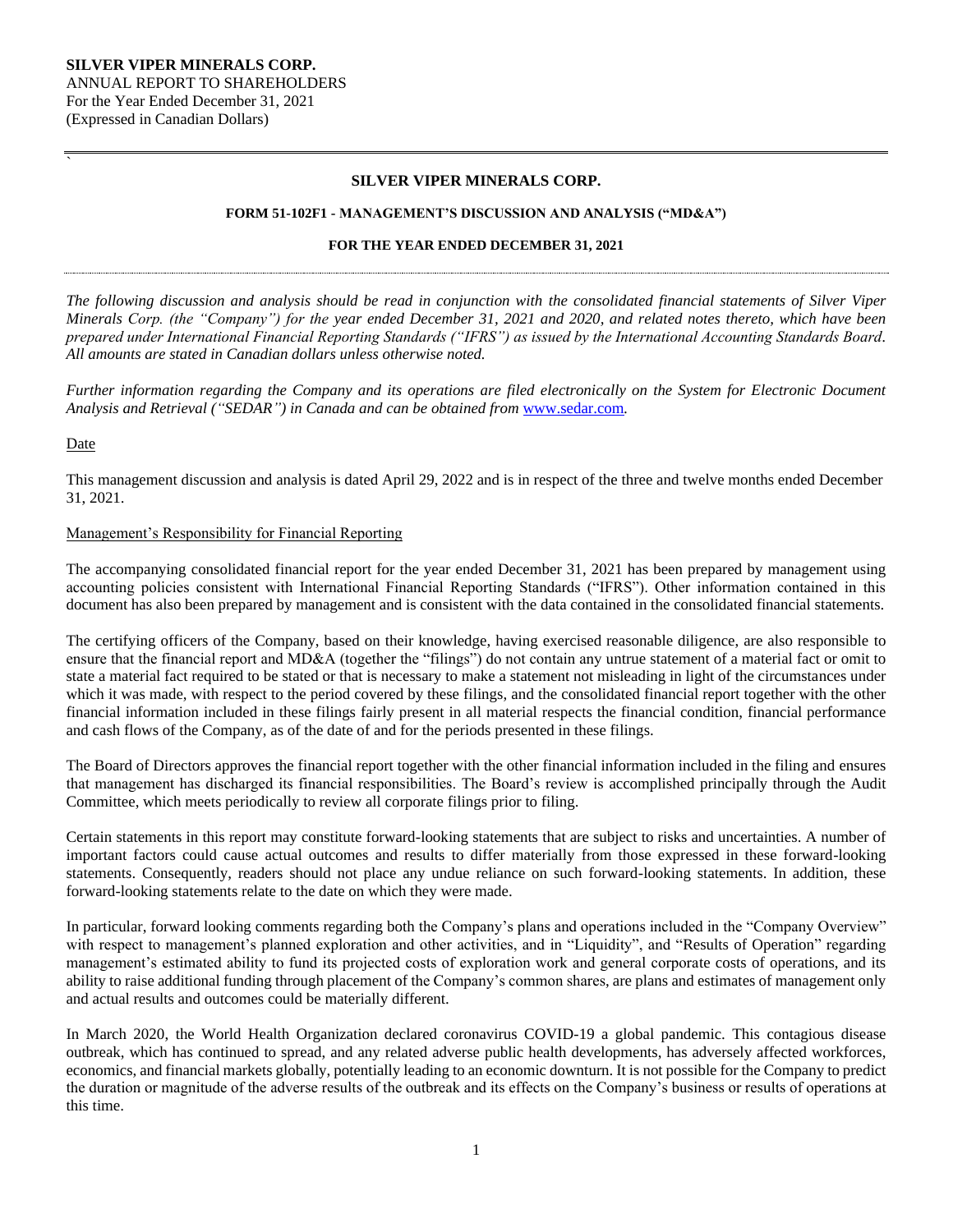# **SILVER VIPER MINERALS CORP.** ANNUAL REPORT TO SHAREHOLDERS

For the Year Ended December 31, 2021 (Expressed in Canadian Dollars)

# **SILVER VIPER MINERALS CORP.**

### **FORM 51-102F1 - MANAGEMENT'S DISCUSSION AND ANALYSIS ("MD&A")**

#### **FOR THE YEAR ENDED DECEMBER 31, 2021**

*The following discussion and analysis should be read in conjunction with the consolidated financial statements of Silver Viper Minerals Corp. (the "Company") for the year ended December 31, 2021 and 2020, and related notes thereto, which have been prepared under International Financial Reporting Standards ("IFRS") as issued by the International Accounting Standards Board. All amounts are stated in Canadian dollars unless otherwise noted.* 

*Further information regarding the Company and its operations are filed electronically on the System for Electronic Document Analysis and Retrieval ("SEDAR") in Canada and can be obtained from* [www.sedar.com](http://www.sedar.com/)*.*

# Date

`

This management discussion and analysis is dated April 29, 2022 and is in respect of the three and twelve months ended December 31, 2021.

# Management's Responsibility for Financial Reporting

The accompanying consolidated financial report for the year ended December 31, 2021 has been prepared by management using accounting policies consistent with International Financial Reporting Standards ("IFRS"). Other information contained in this document has also been prepared by management and is consistent with the data contained in the consolidated financial statements.

The certifying officers of the Company, based on their knowledge, having exercised reasonable diligence, are also responsible to ensure that the financial report and MD&A (together the "filings") do not contain any untrue statement of a material fact or omit to state a material fact required to be stated or that is necessary to make a statement not misleading in light of the circumstances under which it was made, with respect to the period covered by these filings, and the consolidated financial report together with the other financial information included in these filings fairly present in all material respects the financial condition, financial performance and cash flows of the Company, as of the date of and for the periods presented in these filings.

The Board of Directors approves the financial report together with the other financial information included in the filing and ensures that management has discharged its financial responsibilities. The Board's review is accomplished principally through the Audit Committee, which meets periodically to review all corporate filings prior to filing.

Certain statements in this report may constitute forward-looking statements that are subject to risks and uncertainties. A number of important factors could cause actual outcomes and results to differ materially from those expressed in these forward-looking statements. Consequently, readers should not place any undue reliance on such forward-looking statements. In addition, these forward-looking statements relate to the date on which they were made.

In particular, forward looking comments regarding both the Company's plans and operations included in the "Company Overview" with respect to management's planned exploration and other activities, and in "Liquidity", and "Results of Operation" regarding management's estimated ability to fund its projected costs of exploration work and general corporate costs of operations, and its ability to raise additional funding through placement of the Company's common shares, are plans and estimates of management only and actual results and outcomes could be materially different.

In March 2020, the World Health Organization declared coronavirus COVID-19 a global pandemic. This contagious disease outbreak, which has continued to spread, and any related adverse public health developments, has adversely affected workforces, economics, and financial markets globally, potentially leading to an economic downturn. It is not possible for the Company to predict the duration or magnitude of the adverse results of the outbreak and its effects on the Company's business or results of operations at this time.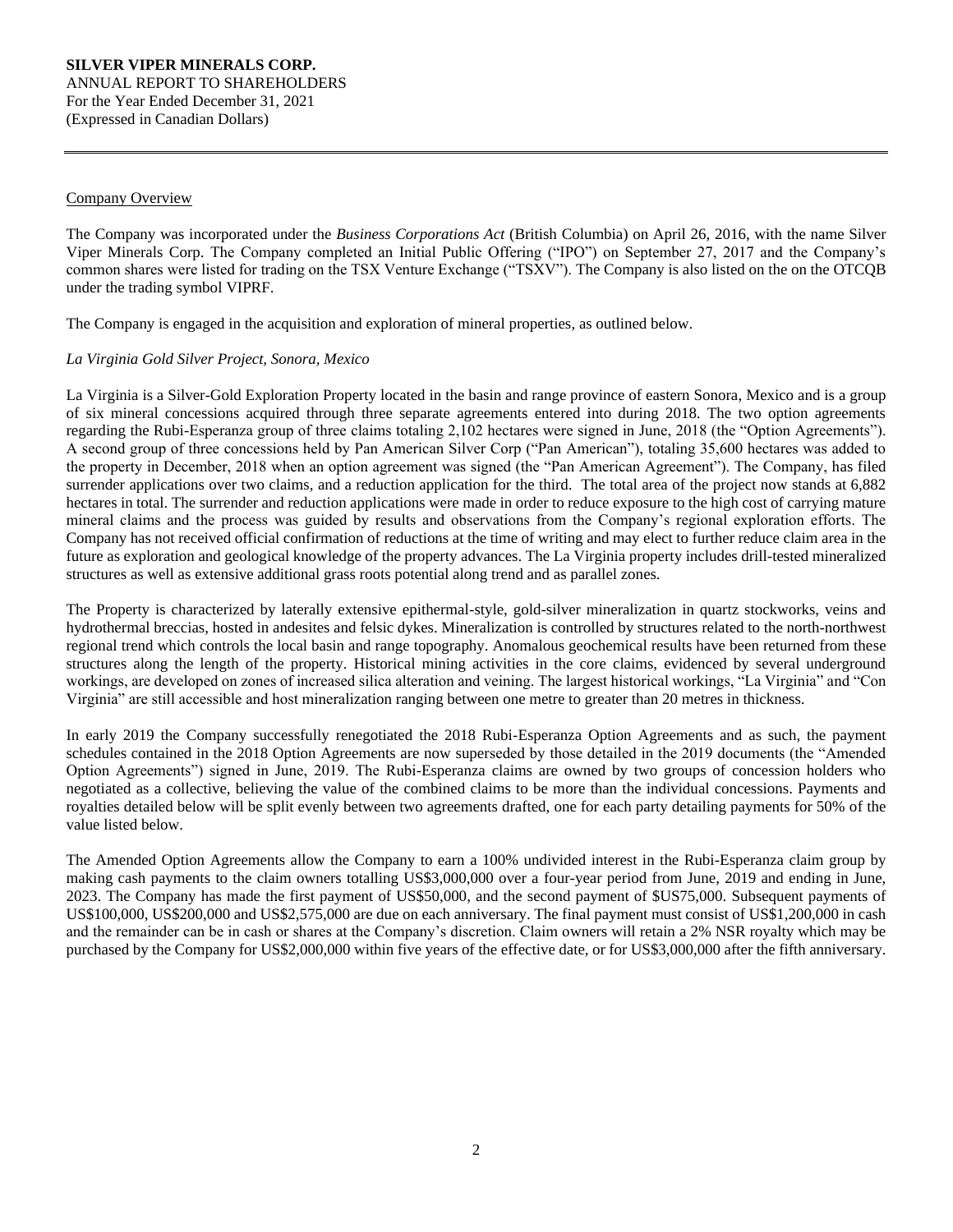### Company Overview

The Company was incorporated under the *Business Corporations Act* (British Columbia) on April 26, 2016, with the name Silver Viper Minerals Corp. The Company completed an Initial Public Offering ("IPO") on September 27, 2017 and the Company's common shares were listed for trading on the TSX Venture Exchange ("TSXV"). The Company is also listed on the on the OTCQB under the trading symbol VIPRF.

The Company is engaged in the acquisition and exploration of mineral properties, as outlined below.

# *La Virginia Gold Silver Project, Sonora, Mexico*

La Virginia is a Silver-Gold Exploration Property located in the basin and range province of eastern Sonora, Mexico and is a group of six mineral concessions acquired through three separate agreements entered into during 2018. The two option agreements regarding the Rubi-Esperanza group of three claims totaling 2,102 hectares were signed in June, 2018 (the "Option Agreements"). A second group of three concessions held by Pan American Silver Corp ("Pan American"), totaling 35,600 hectares was added to the property in December, 2018 when an option agreement was signed (the "Pan American Agreement"). The Company, has filed surrender applications over two claims, and a reduction application for the third. The total area of the project now stands at 6,882 hectares in total. The surrender and reduction applications were made in order to reduce exposure to the high cost of carrying mature mineral claims and the process was guided by results and observations from the Company's regional exploration efforts. The Company has not received official confirmation of reductions at the time of writing and may elect to further reduce claim area in the future as exploration and geological knowledge of the property advances. The La Virginia property includes drill-tested mineralized structures as well as extensive additional grass roots potential along trend and as parallel zones.

The Property is characterized by laterally extensive epithermal-style, gold-silver mineralization in quartz stockworks, veins and hydrothermal breccias, hosted in andesites and felsic dykes. Mineralization is controlled by structures related to the north-northwest regional trend which controls the local basin and range topography. Anomalous geochemical results have been returned from these structures along the length of the property. Historical mining activities in the core claims, evidenced by several underground workings, are developed on zones of increased silica alteration and veining. The largest historical workings, "La Virginia" and "Con Virginia" are still accessible and host mineralization ranging between one metre to greater than 20 metres in thickness.

In early 2019 the Company successfully renegotiated the 2018 Rubi-Esperanza Option Agreements and as such, the payment schedules contained in the 2018 Option Agreements are now superseded by those detailed in the 2019 documents (the "Amended Option Agreements") signed in June, 2019. The Rubi-Esperanza claims are owned by two groups of concession holders who negotiated as a collective, believing the value of the combined claims to be more than the individual concessions. Payments and royalties detailed below will be split evenly between two agreements drafted, one for each party detailing payments for 50% of the value listed below.

The Amended Option Agreements allow the Company to earn a 100% undivided interest in the Rubi-Esperanza claim group by making cash payments to the claim owners totalling US\$3,000,000 over a four-year period from June, 2019 and ending in June, 2023. The Company has made the first payment of US\$50,000, and the second payment of \$US75,000. Subsequent payments of US\$100,000, US\$200,000 and US\$2,575,000 are due on each anniversary. The final payment must consist of US\$1,200,000 in cash and the remainder can be in cash or shares at the Company's discretion. Claim owners will retain a 2% NSR royalty which may be purchased by the Company for US\$2,000,000 within five years of the effective date, or for US\$3,000,000 after the fifth anniversary.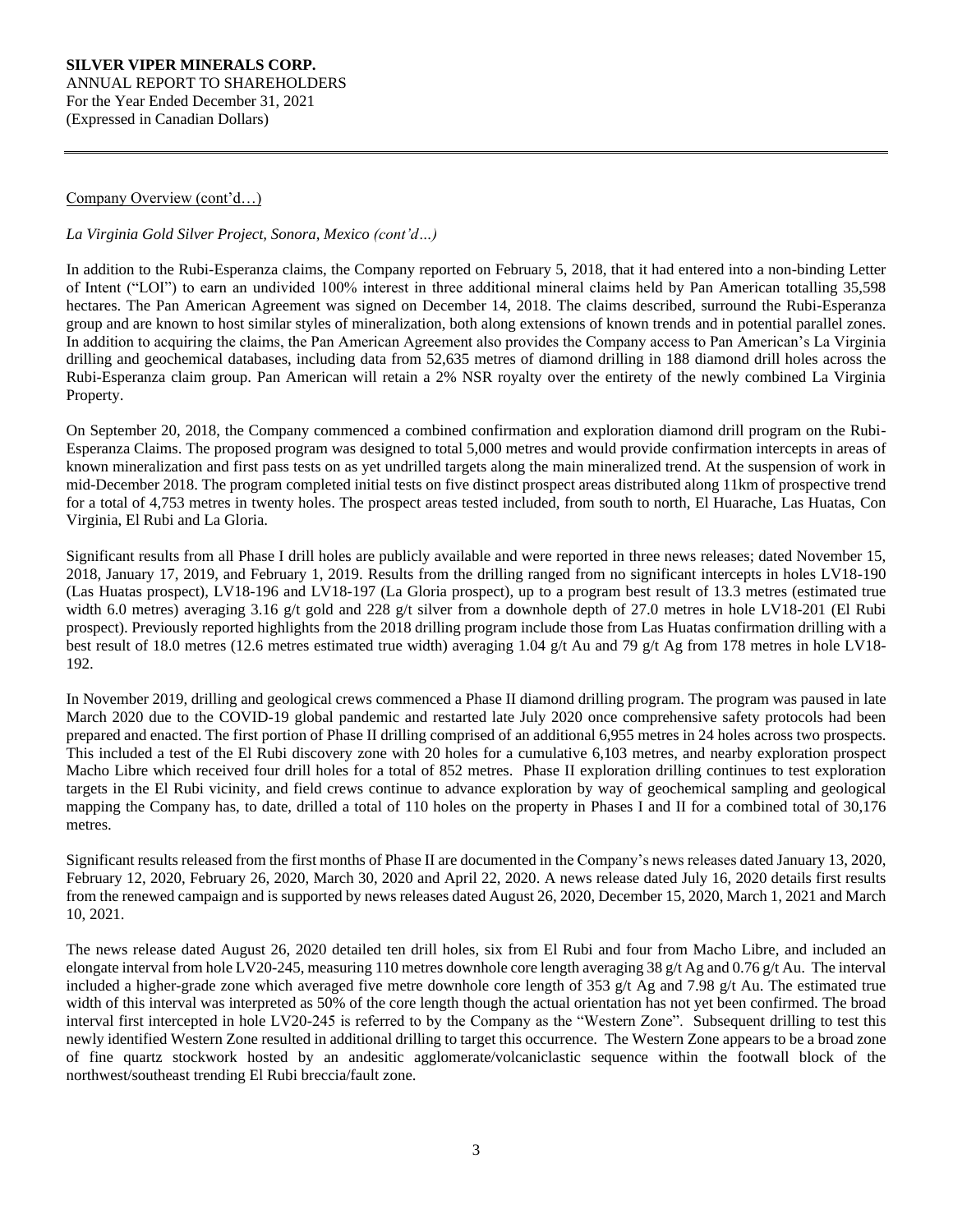# **SILVER VIPER MINERALS CORP.** ANNUAL REPORT TO SHAREHOLDERS For the Year Ended December 31, 2021 (Expressed in Canadian Dollars)

Company Overview (cont'd…)

# *La Virginia Gold Silver Project, Sonora, Mexico (cont'd…)*

In addition to the Rubi-Esperanza claims, the Company reported on February 5, 2018, that it had entered into a non-binding Letter of Intent ("LOI") to earn an undivided 100% interest in three additional mineral claims held by Pan American totalling 35,598 hectares. The Pan American Agreement was signed on December 14, 2018. The claims described, surround the Rubi-Esperanza group and are known to host similar styles of mineralization, both along extensions of known trends and in potential parallel zones. In addition to acquiring the claims, the Pan American Agreement also provides the Company access to Pan American's La Virginia drilling and geochemical databases, including data from 52,635 metres of diamond drilling in 188 diamond drill holes across the Rubi-Esperanza claim group. Pan American will retain a 2% NSR royalty over the entirety of the newly combined La Virginia Property.

On September 20, 2018, the Company commenced a combined confirmation and exploration diamond drill program on the Rubi-Esperanza Claims. The proposed program was designed to total 5,000 metres and would provide confirmation intercepts in areas of known mineralization and first pass tests on as yet undrilled targets along the main mineralized trend. At the suspension of work in mid-December 2018. The program completed initial tests on five distinct prospect areas distributed along 11km of prospective trend for a total of 4,753 metres in twenty holes. The prospect areas tested included, from south to north, El Huarache, Las Huatas, Con Virginia, El Rubi and La Gloria.

Significant results from all Phase I drill holes are publicly available and were reported in three news releases; dated November 15, 2018, January 17, 2019, and February 1, 2019. Results from the drilling ranged from no significant intercepts in holes LV18-190 (Las Huatas prospect), LV18-196 and LV18-197 (La Gloria prospect), up to a program best result of 13.3 metres (estimated true width 6.0 metres) averaging 3.16 g/t gold and 228 g/t silver from a downhole depth of 27.0 metres in hole LV18-201 (El Rubi prospect). Previously reported highlights from the 2018 drilling program include those from Las Huatas confirmation drilling with a best result of 18.0 metres (12.6 metres estimated true width) averaging 1.04 g/t Au and 79 g/t Ag from 178 metres in hole LV18- 192.

In November 2019, drilling and geological crews commenced a Phase II diamond drilling program. The program was paused in late March 2020 due to the COVID-19 global pandemic and restarted late July 2020 once comprehensive safety protocols had been prepared and enacted. The first portion of Phase II drilling comprised of an additional 6,955 metres in 24 holes across two prospects. This included a test of the El Rubi discovery zone with 20 holes for a cumulative 6,103 metres, and nearby exploration prospect Macho Libre which received four drill holes for a total of 852 metres. Phase II exploration drilling continues to test exploration targets in the El Rubi vicinity, and field crews continue to advance exploration by way of geochemical sampling and geological mapping the Company has, to date, drilled a total of 110 holes on the property in Phases I and II for a combined total of 30,176 metres.

Significant results released from the first months of Phase II are documented in the Company's news releases dated January 13, 2020, February 12, 2020, February 26, 2020, March 30, 2020 and April 22, 2020. A news release dated July 16, 2020 details first results from the renewed campaign and is supported by news releases dated August 26, 2020, December 15, 2020, March 1, 2021 and March 10, 2021.

The news release dated August 26, 2020 detailed ten drill holes, six from El Rubi and four from Macho Libre, and included an elongate interval from hole LV20-245, measuring 110 metres downhole core length averaging 38 g/t Ag and 0.76 g/t Au. The interval included a higher-grade zone which averaged five metre downhole core length of 353 g/t Ag and 7.98 g/t Au. The estimated true width of this interval was interpreted as 50% of the core length though the actual orientation has not yet been confirmed. The broad interval first intercepted in hole LV20-245 is referred to by the Company as the "Western Zone". Subsequent drilling to test this newly identified Western Zone resulted in additional drilling to target this occurrence. The Western Zone appears to be a broad zone of fine quartz stockwork hosted by an andesitic agglomerate/volcaniclastic sequence within the footwall block of the northwest/southeast trending El Rubi breccia/fault zone.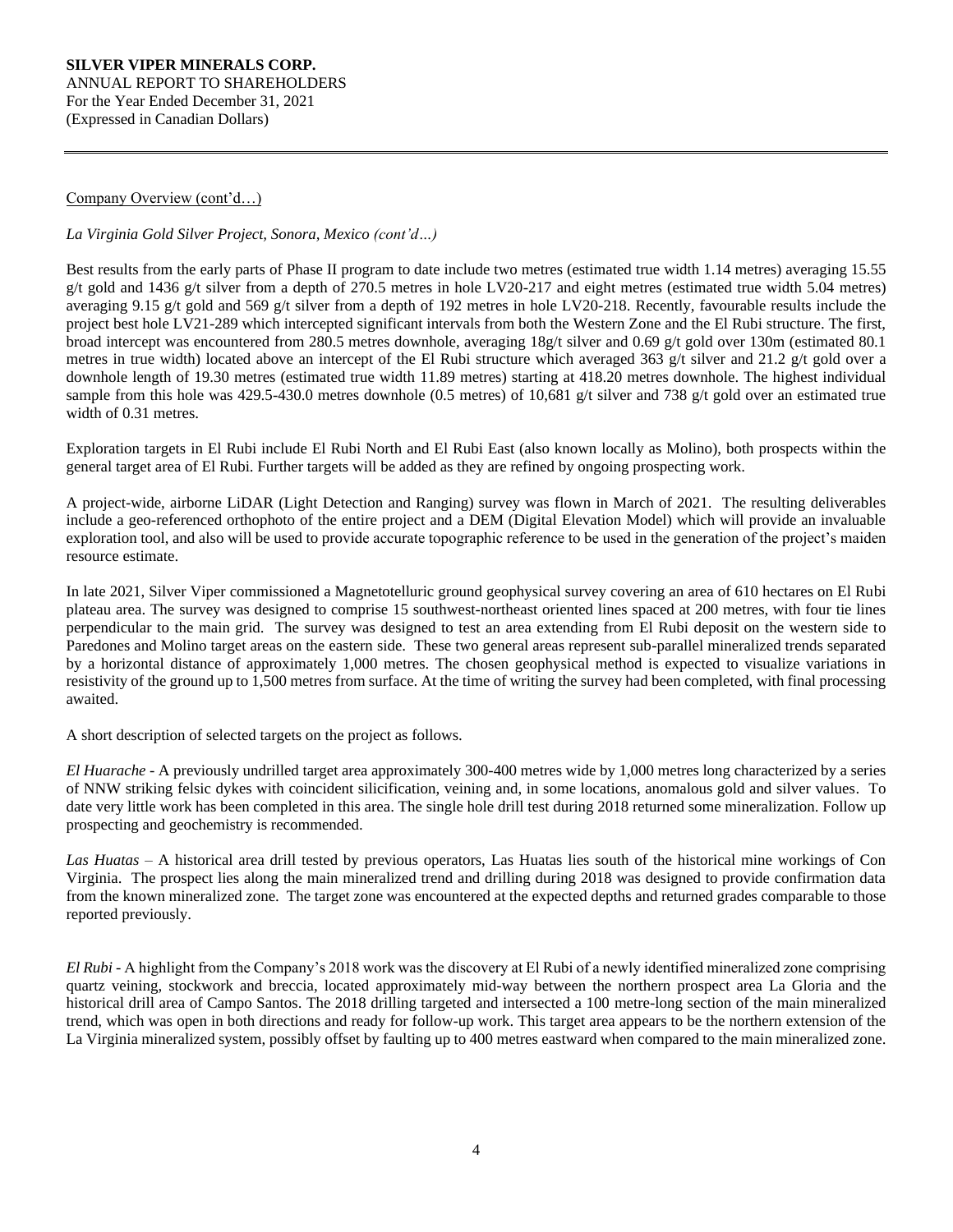# **SILVER VIPER MINERALS CORP.** ANNUAL REPORT TO SHAREHOLDERS For the Year Ended December 31, 2021

(Expressed in Canadian Dollars)

Company Overview (cont'd…)

*La Virginia Gold Silver Project, Sonora, Mexico (cont'd…)*

Best results from the early parts of Phase II program to date include two metres (estimated true width 1.14 metres) averaging 15.55 g/t gold and 1436 g/t silver from a depth of 270.5 metres in hole LV20-217 and eight metres (estimated true width 5.04 metres) averaging 9.15 g/t gold and 569 g/t silver from a depth of 192 metres in hole LV20-218. Recently, favourable results include the project best hole LV21-289 which intercepted significant intervals from both the Western Zone and the El Rubi structure. The first, broad intercept was encountered from 280.5 metres downhole, averaging 18g/t silver and 0.69 g/t gold over 130m (estimated 80.1 metres in true width) located above an intercept of the El Rubi structure which averaged 363 g/t silver and 21.2 g/t gold over a downhole length of 19.30 metres (estimated true width 11.89 metres) starting at 418.20 metres downhole. The highest individual sample from this hole was 429.5-430.0 metres downhole (0.5 metres) of 10,681 g/t silver and 738 g/t gold over an estimated true width of 0.31 metres.

Exploration targets in El Rubi include El Rubi North and El Rubi East (also known locally as Molino), both prospects within the general target area of El Rubi. Further targets will be added as they are refined by ongoing prospecting work.

A project-wide, airborne LiDAR (Light Detection and Ranging) survey was flown in March of 2021. The resulting deliverables include a geo-referenced orthophoto of the entire project and a DEM (Digital Elevation Model) which will provide an invaluable exploration tool, and also will be used to provide accurate topographic reference to be used in the generation of the project's maiden resource estimate.

In late 2021, Silver Viper commissioned a Magnetotelluric ground geophysical survey covering an area of 610 hectares on El Rubi plateau area. The survey was designed to comprise 15 southwest-northeast oriented lines spaced at 200 metres, with four tie lines perpendicular to the main grid. The survey was designed to test an area extending from El Rubi deposit on the western side to Paredones and Molino target areas on the eastern side. These two general areas represent sub-parallel mineralized trends separated by a horizontal distance of approximately 1,000 metres. The chosen geophysical method is expected to visualize variations in resistivity of the ground up to 1,500 metres from surface. At the time of writing the survey had been completed, with final processing awaited.

A short description of selected targets on the project as follows.

*El Huarache* - A previously undrilled target area approximately 300-400 metres wide by 1,000 metres long characterized by a series of NNW striking felsic dykes with coincident silicification, veining and, in some locations, anomalous gold and silver values. To date very little work has been completed in this area. The single hole drill test during 2018 returned some mineralization. Follow up prospecting and geochemistry is recommended.

*Las Huatas* – A historical area drill tested by previous operators, Las Huatas lies south of the historical mine workings of Con Virginia. The prospect lies along the main mineralized trend and drilling during 2018 was designed to provide confirmation data from the known mineralized zone. The target zone was encountered at the expected depths and returned grades comparable to those reported previously.

*El Rubi* - A highlight from the Company's 2018 work was the discovery at El Rubi of a newly identified mineralized zone comprising quartz veining, stockwork and breccia, located approximately mid-way between the northern prospect area La Gloria and the historical drill area of Campo Santos. The 2018 drilling targeted and intersected a 100 metre-long section of the main mineralized trend, which was open in both directions and ready for follow-up work. This target area appears to be the northern extension of the La Virginia mineralized system, possibly offset by faulting up to 400 metres eastward when compared to the main mineralized zone.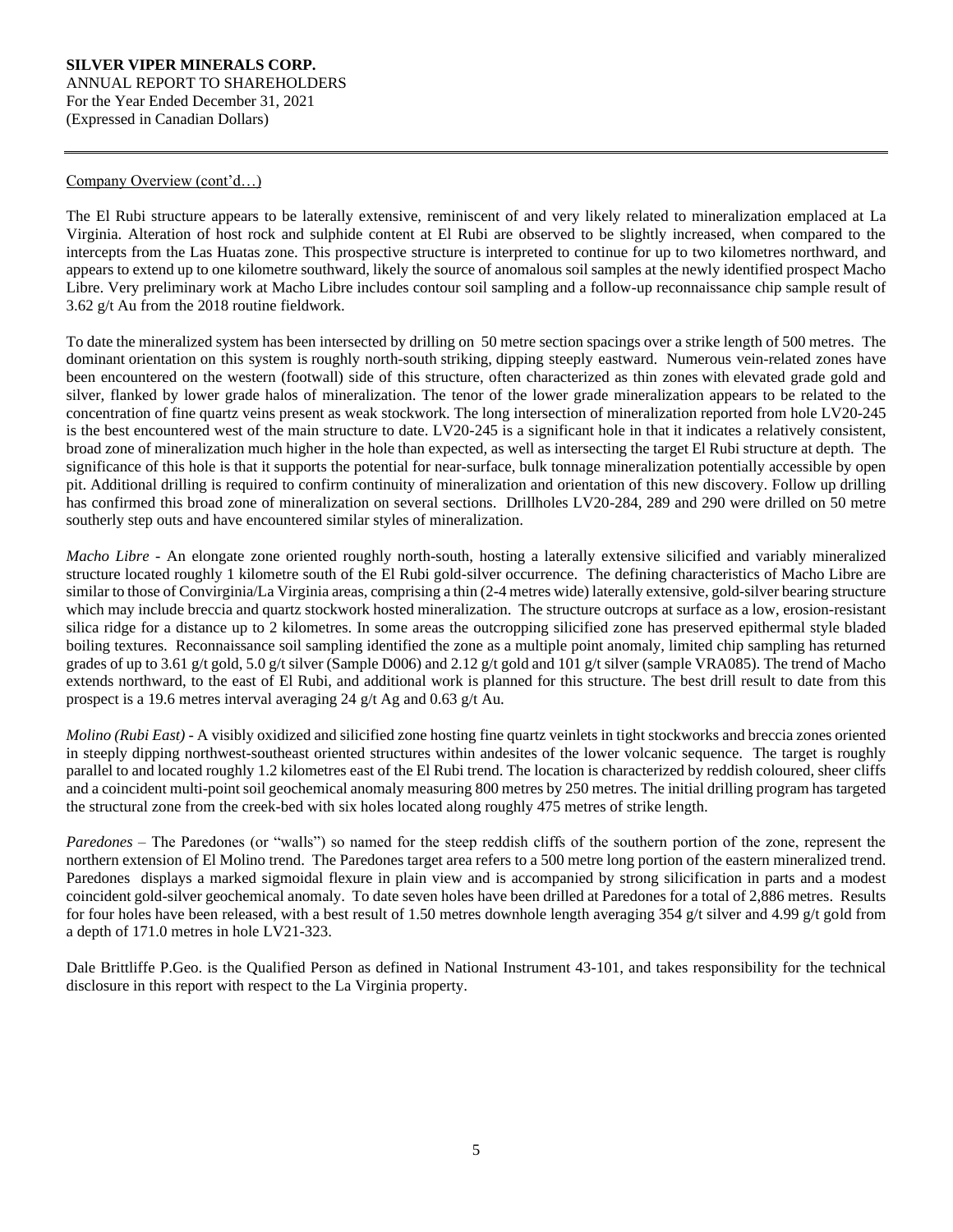# **SILVER VIPER MINERALS CORP.** ANNUAL REPORT TO SHAREHOLDERS For the Year Ended December 31, 2021 (Expressed in Canadian Dollars)

# Company Overview (cont'd…)

The El Rubi structure appears to be laterally extensive, reminiscent of and very likely related to mineralization emplaced at La Virginia. Alteration of host rock and sulphide content at El Rubi are observed to be slightly increased, when compared to the intercepts from the Las Huatas zone. This prospective structure is interpreted to continue for up to two kilometres northward, and appears to extend up to one kilometre southward, likely the source of anomalous soil samples at the newly identified prospect Macho Libre. Very preliminary work at Macho Libre includes contour soil sampling and a follow-up reconnaissance chip sample result of 3.62 g/t Au from the 2018 routine fieldwork.

To date the mineralized system has been intersected by drilling on 50 metre section spacings over a strike length of 500 metres. The dominant orientation on this system is roughly north-south striking, dipping steeply eastward. Numerous vein-related zones have been encountered on the western (footwall) side of this structure, often characterized as thin zones with elevated grade gold and silver, flanked by lower grade halos of mineralization. The tenor of the lower grade mineralization appears to be related to the concentration of fine quartz veins present as weak stockwork. The long intersection of mineralization reported from hole LV20-245 is the best encountered west of the main structure to date. LV20-245 is a significant hole in that it indicates a relatively consistent, broad zone of mineralization much higher in the hole than expected, as well as intersecting the target El Rubi structure at depth. The significance of this hole is that it supports the potential for near-surface, bulk tonnage mineralization potentially accessible by open pit. Additional drilling is required to confirm continuity of mineralization and orientation of this new discovery. Follow up drilling has confirmed this broad zone of mineralization on several sections. Drillholes LV20-284, 289 and 290 were drilled on 50 metre southerly step outs and have encountered similar styles of mineralization.

*Macho Libre* - An elongate zone oriented roughly north-south, hosting a laterally extensive silicified and variably mineralized structure located roughly 1 kilometre south of the El Rubi gold-silver occurrence. The defining characteristics of Macho Libre are similar to those of Convirginia/La Virginia areas, comprising a thin (2-4 metres wide) laterally extensive, gold-silver bearing structure which may include breccia and quartz stockwork hosted mineralization. The structure outcrops at surface as a low, erosion-resistant silica ridge for a distance up to 2 kilometres. In some areas the outcropping silicified zone has preserved epithermal style bladed boiling textures. Reconnaissance soil sampling identified the zone as a multiple point anomaly, limited chip sampling has returned grades of up to 3.61 g/t gold, 5.0 g/t silver (Sample D006) and 2.12 g/t gold and 101 g/t silver (sample VRA085). The trend of Macho extends northward, to the east of El Rubi, and additional work is planned for this structure. The best drill result to date from this prospect is a 19.6 metres interval averaging 24 g/t Ag and 0.63 g/t Au.

*Molino (Rubi East)* - A visibly oxidized and silicified zone hosting fine quartz veinlets in tight stockworks and breccia zones oriented in steeply dipping northwest-southeast oriented structures within andesites of the lower volcanic sequence. The target is roughly parallel to and located roughly 1.2 kilometres east of the El Rubi trend. The location is characterized by reddish coloured, sheer cliffs and a coincident multi-point soil geochemical anomaly measuring 800 metres by 250 metres. The initial drilling program has targeted the structural zone from the creek-bed with six holes located along roughly 475 metres of strike length.

*Paredones –* The Paredones (or "walls") so named for the steep reddish cliffs of the southern portion of the zone, represent the northern extension of El Molino trend. The Paredones target area refers to a 500 metre long portion of the eastern mineralized trend. Paredones displays a marked sigmoidal flexure in plain view and is accompanied by strong silicification in parts and a modest coincident gold-silver geochemical anomaly. To date seven holes have been drilled at Paredones for a total of 2,886 metres. Results for four holes have been released, with a best result of 1.50 metres downhole length averaging 354 g/t silver and 4.99 g/t gold from a depth of 171.0 metres in hole LV21-323.

Dale Brittliffe P.Geo. is the Qualified Person as defined in National Instrument 43-101, and takes responsibility for the technical disclosure in this report with respect to the La Virginia property.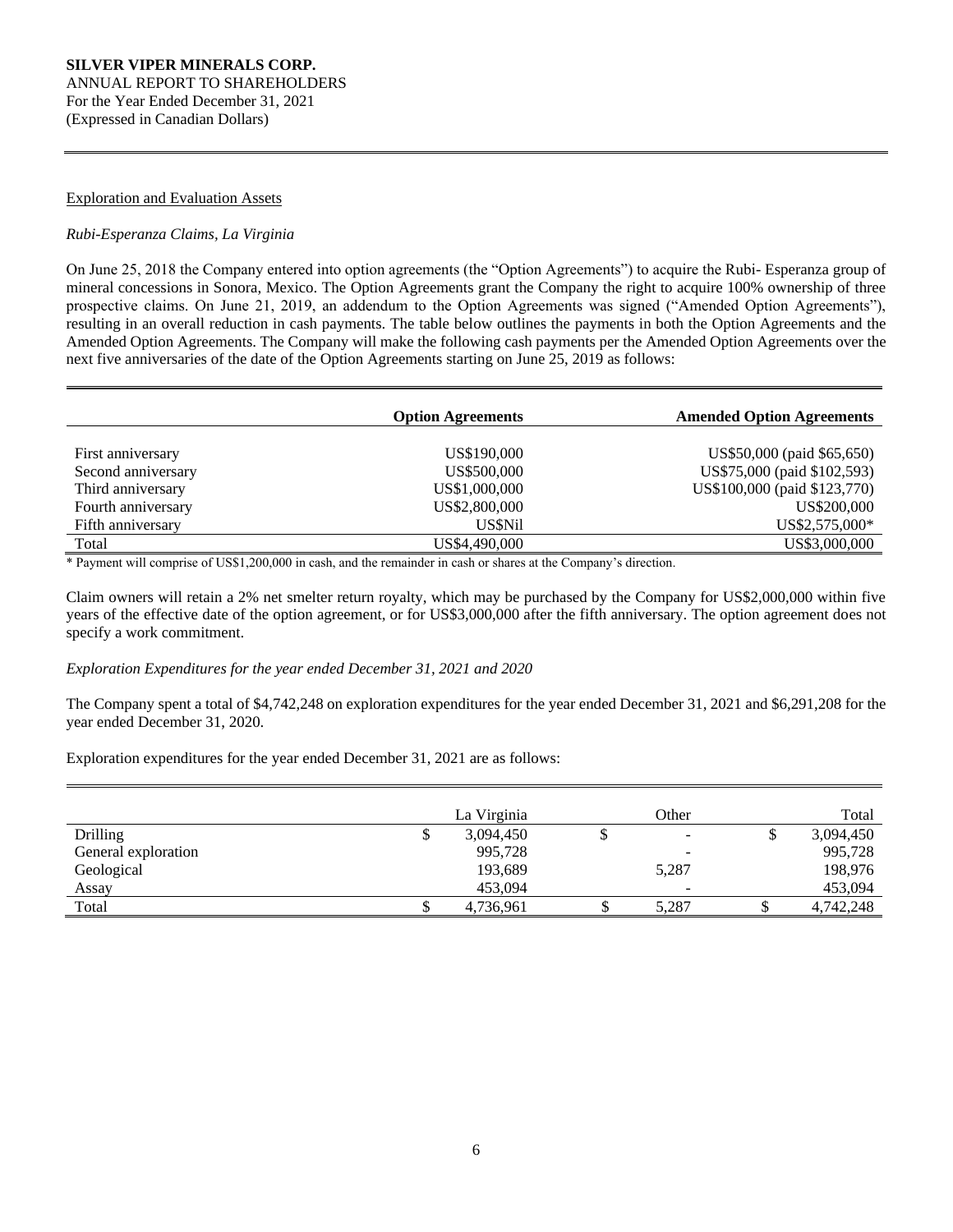#### Exploration and Evaluation Assets

# *Rubi-Esperanza Claims, La Virginia*

On June 25, 2018 the Company entered into option agreements (the "Option Agreements") to acquire the Rubi- Esperanza group of mineral concessions in Sonora, Mexico. The Option Agreements grant the Company the right to acquire 100% ownership of three prospective claims. On June 21, 2019, an addendum to the Option Agreements was signed ("Amended Option Agreements"), resulting in an overall reduction in cash payments. The table below outlines the payments in both the Option Agreements and the Amended Option Agreements. The Company will make the following cash payments per the Amended Option Agreements over the next five anniversaries of the date of the Option Agreements starting on June 25, 2019 as follows:

|                    | <b>Option Agreements</b> | <b>Amended Option Agreements</b> |
|--------------------|--------------------------|----------------------------------|
|                    |                          |                                  |
| First anniversary  | US\$190,000              | US\$50,000 (paid \$65,650)       |
| Second anniversary | US\$500,000              | US\$75,000 (paid \$102,593)      |
| Third anniversary  | US\$1,000,000            | US\$100,000 (paid \$123,770)     |
| Fourth anniversary | US\$2,800,000            | US\$200,000                      |
| Fifth anniversary  | <b>US\$Nil</b>           | US\$2,575,000*                   |
| Total              | US\$4,490,000            | US\$3,000,000                    |

\* Payment will comprise of US\$1,200,000 in cash, and the remainder in cash or shares at the Company's direction.

Claim owners will retain a 2% net smelter return royalty, which may be purchased by the Company for US\$2,000,000 within five years of the effective date of the option agreement, or for US\$3,000,000 after the fifth anniversary. The option agreement does not specify a work commitment.

#### *Exploration Expenditures for the year ended December 31, 2021 and 2020*

The Company spent a total of \$4,742,248 on exploration expenditures for the year ended December 31, 2021 and \$6,291,208 for the year ended December 31, 2020.

Exploration expenditures for the year ended December 31, 2021 are as follows:

|                     | La Virginia | Other |   | Total     |
|---------------------|-------------|-------|---|-----------|
| Drilling            | 3,094,450   |       |   | 3,094,450 |
| General exploration | 995,728     | -     |   | 995,728   |
| Geological          | 193,689     | 5,287 |   | 198,976   |
| Assay               | 453.094     |       |   | 453,094   |
| Total               | 4,736,961   | 5,287 | ◡ | 4,742,248 |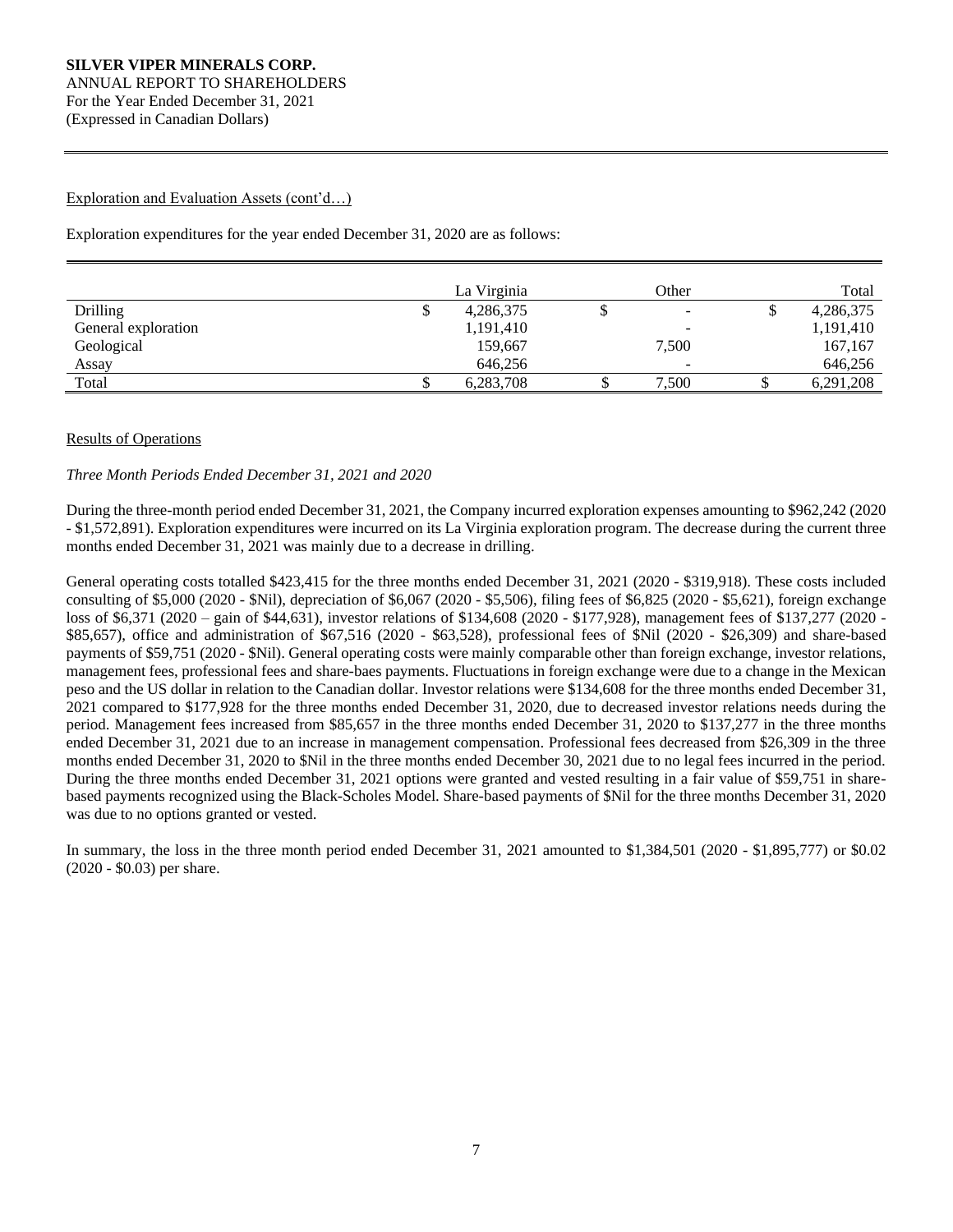# Exploration and Evaluation Assets (cont'd…)

Exploration expenditures for the year ended December 31, 2020 are as follows:

|                     | La Virginia | Other                    |   | Total     |
|---------------------|-------------|--------------------------|---|-----------|
| <b>Drilling</b>     | 4,286,375   |                          | ω | 4,286,375 |
| General exploration | 1,191,410   |                          |   | 1,191,410 |
| Geological          | 159,667     | 7,500                    |   | 167,167   |
| Assay               | 646,256     | $\overline{\phantom{a}}$ |   | 646,256   |
| Total               | 6.283.708   | 7,500                    |   | 6,291,208 |

# Results of Operations

# *Three Month Periods Ended December 31, 2021 and 2020*

During the three-month period ended December 31, 2021, the Company incurred exploration expenses amounting to \$962,242 (2020 - \$1,572,891). Exploration expenditures were incurred on its La Virginia exploration program. The decrease during the current three months ended December 31, 2021 was mainly due to a decrease in drilling.

General operating costs totalled \$423,415 for the three months ended December 31, 2021 (2020 - \$319,918). These costs included consulting of \$5,000 (2020 - \$Nil), depreciation of \$6,067 (2020 - \$5,506), filing fees of \$6,825 (2020 - \$5,621), foreign exchange loss of \$6,371 (2020 – gain of \$44,631), investor relations of \$134,608 (2020 - \$177,928), management fees of \$137,277 (2020 - \$85,657), office and administration of \$67,516 (2020 - \$63,528), professional fees of \$Nil (2020 - \$26,309) and share-based payments of \$59,751 (2020 - \$Nil). General operating costs were mainly comparable other than foreign exchange, investor relations, management fees, professional fees and share-baes payments. Fluctuations in foreign exchange were due to a change in the Mexican peso and the US dollar in relation to the Canadian dollar. Investor relations were \$134,608 for the three months ended December 31, 2021 compared to \$177,928 for the three months ended December 31, 2020, due to decreased investor relations needs during the period. Management fees increased from \$85,657 in the three months ended December 31, 2020 to \$137,277 in the three months ended December 31, 2021 due to an increase in management compensation. Professional fees decreased from \$26,309 in the three months ended December 31, 2020 to \$Nil in the three months ended December 30, 2021 due to no legal fees incurred in the period. During the three months ended December 31, 2021 options were granted and vested resulting in a fair value of \$59,751 in sharebased payments recognized using the Black-Scholes Model. Share-based payments of \$Nil for the three months December 31, 2020 was due to no options granted or vested.

In summary, the loss in the three month period ended December 31, 2021 amounted to \$1,384,501 (2020 - \$1,895,777) or \$0.02 (2020 - \$0.03) per share.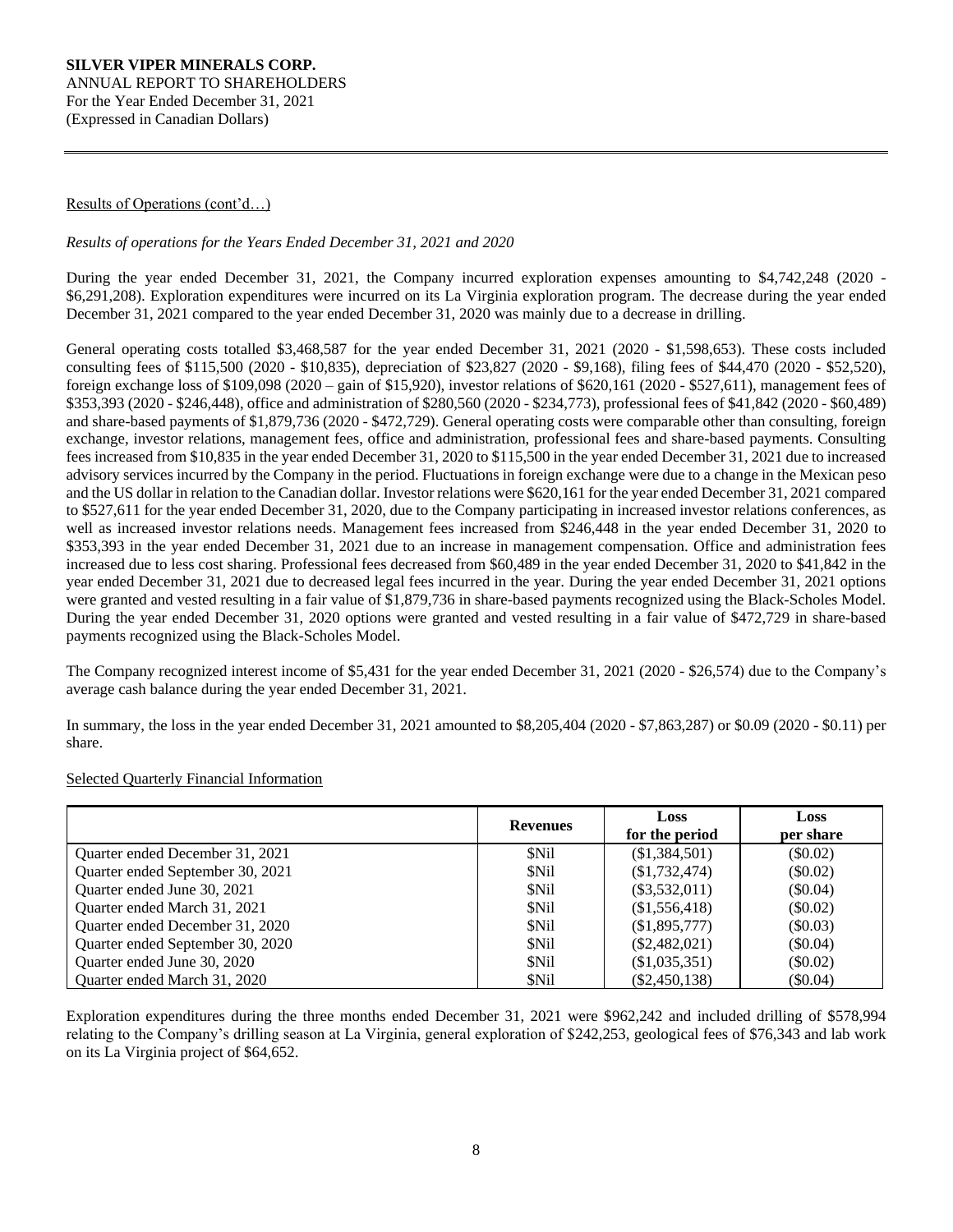# **SILVER VIPER MINERALS CORP.** ANNUAL REPORT TO SHAREHOLDERS For the Year Ended December 31, 2021 (Expressed in Canadian Dollars)

# Results of Operations (cont'd…)

# *Results of operations for the Years Ended December 31, 2021 and 2020*

During the year ended December 31, 2021, the Company incurred exploration expenses amounting to \$4,742,248 (2020 - \$6,291,208). Exploration expenditures were incurred on its La Virginia exploration program. The decrease during the year ended December 31, 2021 compared to the year ended December 31, 2020 was mainly due to a decrease in drilling.

General operating costs totalled \$3,468,587 for the year ended December 31, 2021 (2020 - \$1,598,653). These costs included consulting fees of \$115,500 (2020 - \$10,835), depreciation of \$23,827 (2020 - \$9,168), filing fees of \$44,470 (2020 - \$52,520), foreign exchange loss of \$109,098 (2020 – gain of \$15,920), investor relations of \$620,161 (2020 - \$527,611), management fees of \$353,393 (2020 - \$246,448), office and administration of \$280,560 (2020 - \$234,773), professional fees of \$41,842 (2020 - \$60,489) and share-based payments of \$1,879,736 (2020 - \$472,729). General operating costs were comparable other than consulting, foreign exchange, investor relations, management fees, office and administration, professional fees and share-based payments. Consulting fees increased from \$10,835 in the year ended December 31, 2020 to \$115,500 in the year ended December 31, 2021 due to increased advisory services incurred by the Company in the period. Fluctuations in foreign exchange were due to a change in the Mexican peso and the US dollar in relation to the Canadian dollar. Investor relations were \$620,161 for the year ended December 31, 2021 compared to \$527,611 for the year ended December 31, 2020, due to the Company participating in increased investor relations conferences, as well as increased investor relations needs. Management fees increased from \$246,448 in the year ended December 31, 2020 to \$353,393 in the year ended December 31, 2021 due to an increase in management compensation. Office and administration fees increased due to less cost sharing. Professional fees decreased from \$60,489 in the year ended December 31, 2020 to \$41,842 in the year ended December 31, 2021 due to decreased legal fees incurred in the year. During the year ended December 31, 2021 options were granted and vested resulting in a fair value of \$1,879,736 in share-based payments recognized using the Black-Scholes Model. During the year ended December 31, 2020 options were granted and vested resulting in a fair value of \$472,729 in share-based payments recognized using the Black-Scholes Model.

The Company recognized interest income of \$5,431 for the year ended December 31, 2021 (2020 - \$26,574) due to the Company's average cash balance during the year ended December 31, 2021.

In summary, the loss in the year ended December 31, 2021 amounted to \$8,205,404 (2020 - \$7,863,287) or \$0.09 (2020 - \$0.11) per share.

#### Selected Quarterly Financial Information

|                                  | <b>Revenues</b> | Loss<br>for the period | Loss<br>per share |
|----------------------------------|-----------------|------------------------|-------------------|
| Quarter ended December 31, 2021  | \$Nil           | (\$1,384,501)          | $(\$0.02)$        |
| Quarter ended September 30, 2021 | \$Nil           | (\$1,732,474)          | $(\$0.02)$        |
| Quarter ended June 30, 2021      | \$Nil           | $(\$3,532,011)$        | $(\$0.04)$        |
| Quarter ended March 31, 2021     | \$Nil           | \$1,556,418            | $(\$0.02)$        |
| Quarter ended December 31, 2020  | \$Nil           | \$1,895,777            | (S0.03)           |
| Quarter ended September 30, 2020 | \$Nil           | $(\$2,482,021)$        | $(\$0.04)$        |
| Quarter ended June 30, 2020      | \$Nil           | (\$1,035,351)          | $(\$0.02)$        |
| Ouarter ended March 31, 2020     | \$Nil           | $(\$2,450,138)$        | $(\$0.04)$        |

Exploration expenditures during the three months ended December 31, 2021 were \$962,242 and included drilling of \$578,994 relating to the Company's drilling season at La Virginia, general exploration of \$242,253, geological fees of \$76,343 and lab work on its La Virginia project of \$64,652.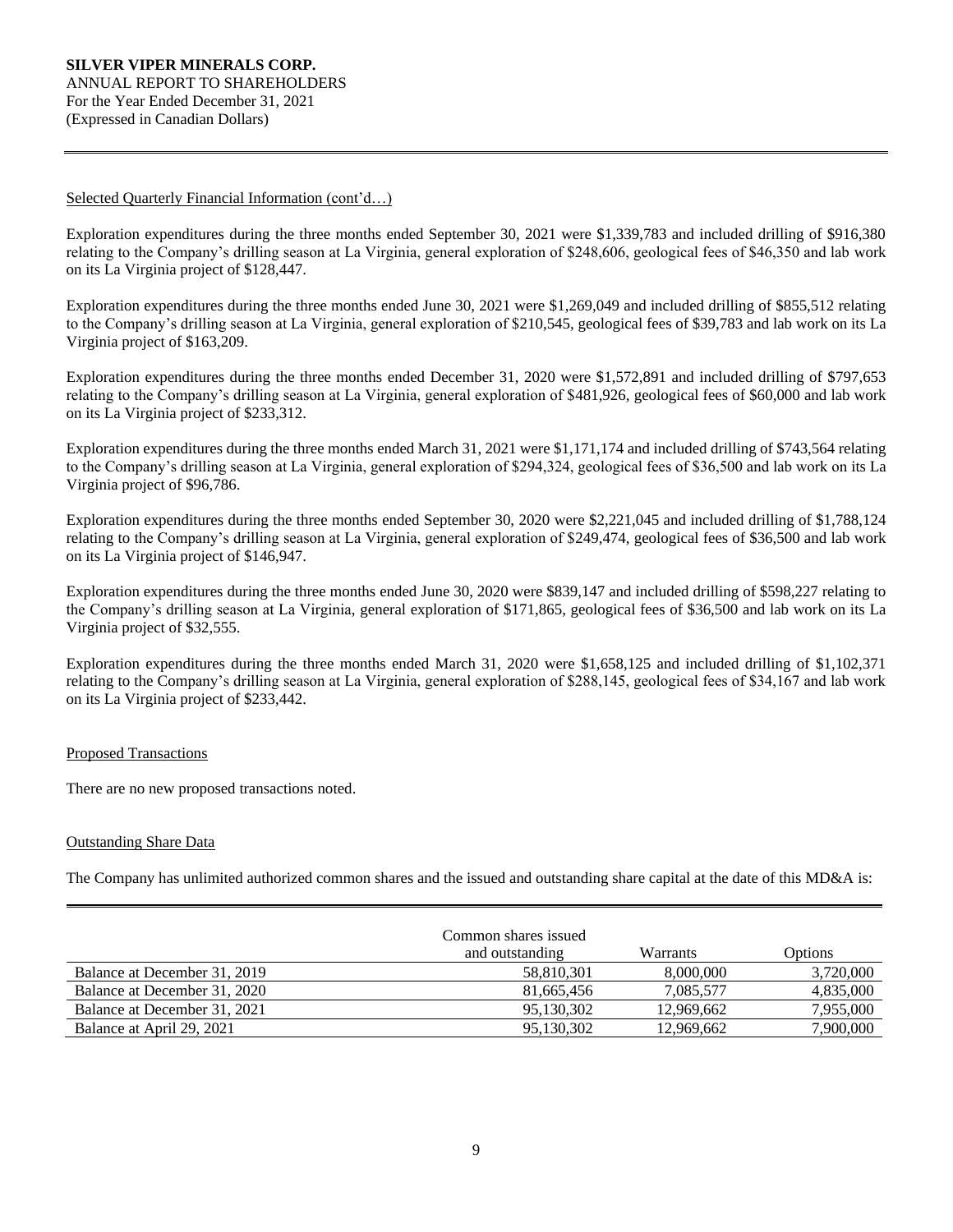# Selected Quarterly Financial Information (cont'd…)

Exploration expenditures during the three months ended September 30, 2021 were \$1,339,783 and included drilling of \$916,380 relating to the Company's drilling season at La Virginia, general exploration of \$248,606, geological fees of \$46,350 and lab work on its La Virginia project of \$128,447.

Exploration expenditures during the three months ended June 30, 2021 were \$1,269,049 and included drilling of \$855,512 relating to the Company's drilling season at La Virginia, general exploration of \$210,545, geological fees of \$39,783 and lab work on its La Virginia project of \$163,209.

Exploration expenditures during the three months ended December 31, 2020 were \$1,572,891 and included drilling of \$797,653 relating to the Company's drilling season at La Virginia, general exploration of \$481,926, geological fees of \$60,000 and lab work on its La Virginia project of \$233,312.

Exploration expenditures during the three months ended March 31, 2021 were \$1,171,174 and included drilling of \$743,564 relating to the Company's drilling season at La Virginia, general exploration of \$294,324, geological fees of \$36,500 and lab work on its La Virginia project of \$96,786.

Exploration expenditures during the three months ended September 30, 2020 were \$2,221,045 and included drilling of \$1,788,124 relating to the Company's drilling season at La Virginia, general exploration of \$249,474, geological fees of \$36,500 and lab work on its La Virginia project of \$146,947.

Exploration expenditures during the three months ended June 30, 2020 were \$839,147 and included drilling of \$598,227 relating to the Company's drilling season at La Virginia, general exploration of \$171,865, geological fees of \$36,500 and lab work on its La Virginia project of \$32,555.

Exploration expenditures during the three months ended March 31, 2020 were \$1,658,125 and included drilling of \$1,102,371 relating to the Company's drilling season at La Virginia, general exploration of \$288,145, geological fees of \$34,167 and lab work on its La Virginia project of \$233,442.

# Proposed Transactions

There are no new proposed transactions noted.

#### Outstanding Share Data

The Company has unlimited authorized common shares and the issued and outstanding share capital at the date of this MD&A is:

|                              | Common shares issued |            |           |
|------------------------------|----------------------|------------|-----------|
|                              | and outstanding      | Warrants   | Options   |
| Balance at December 31, 2019 | 58,810,301           | 8,000,000  | 3,720,000 |
| Balance at December 31, 2020 | 81.665.456           | 7.085.577  | 4,835,000 |
| Balance at December 31, 2021 | 95.130.302           | 12.969.662 | 7,955,000 |
| Balance at April 29, 2021    | 95,130,302           | 12,969,662 | 7,900,000 |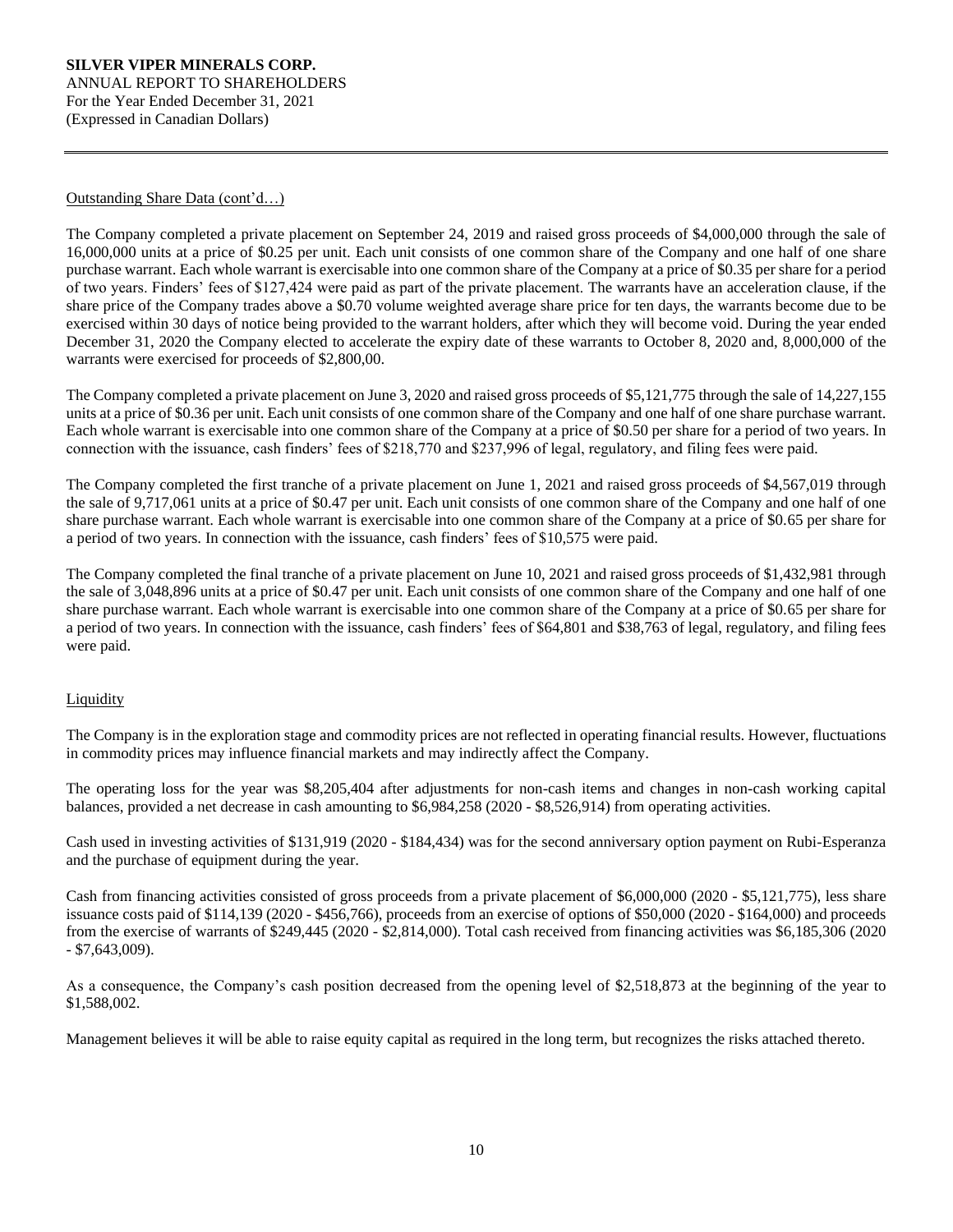### Outstanding Share Data (cont'd…)

The Company completed a private placement on September 24, 2019 and raised gross proceeds of \$4,000,000 through the sale of 16,000,000 units at a price of \$0.25 per unit. Each unit consists of one common share of the Company and one half of one share purchase warrant. Each whole warrant is exercisable into one common share of the Company at a price of \$0.35 per share for a period of two years. Finders' fees of \$127,424 were paid as part of the private placement. The warrants have an acceleration clause, if the share price of the Company trades above a \$0.70 volume weighted average share price for ten days, the warrants become due to be exercised within 30 days of notice being provided to the warrant holders, after which they will become void. During the year ended December 31, 2020 the Company elected to accelerate the expiry date of these warrants to October 8, 2020 and, 8,000,000 of the warrants were exercised for proceeds of \$2,800,00.

The Company completed a private placement on June 3, 2020 and raised gross proceeds of \$5,121,775 through the sale of 14,227,155 units at a price of \$0.36 per unit. Each unit consists of one common share of the Company and one half of one share purchase warrant. Each whole warrant is exercisable into one common share of the Company at a price of \$0.50 per share for a period of two years. In connection with the issuance, cash finders' fees of \$218,770 and \$237,996 of legal, regulatory, and filing fees were paid.

The Company completed the first tranche of a private placement on June 1, 2021 and raised gross proceeds of \$4,567,019 through the sale of 9,717,061 units at a price of \$0.47 per unit. Each unit consists of one common share of the Company and one half of one share purchase warrant. Each whole warrant is exercisable into one common share of the Company at a price of \$0.65 per share for a period of two years. In connection with the issuance, cash finders' fees of \$10,575 were paid.

The Company completed the final tranche of a private placement on June 10, 2021 and raised gross proceeds of \$1,432,981 through the sale of 3,048,896 units at a price of \$0.47 per unit. Each unit consists of one common share of the Company and one half of one share purchase warrant. Each whole warrant is exercisable into one common share of the Company at a price of \$0.65 per share for a period of two years. In connection with the issuance, cash finders' fees of \$64,801 and \$38,763 of legal, regulatory, and filing fees were paid.

# **Liquidity**

The Company is in the exploration stage and commodity prices are not reflected in operating financial results. However, fluctuations in commodity prices may influence financial markets and may indirectly affect the Company.

The operating loss for the year was \$8,205,404 after adjustments for non-cash items and changes in non-cash working capital balances, provided a net decrease in cash amounting to \$6,984,258 (2020 - \$8,526,914) from operating activities.

Cash used in investing activities of \$131,919 (2020 - \$184,434) was for the second anniversary option payment on Rubi-Esperanza and the purchase of equipment during the year.

Cash from financing activities consisted of gross proceeds from a private placement of \$6,000,000 (2020 - \$5,121,775), less share issuance costs paid of \$114,139 (2020 - \$456,766), proceeds from an exercise of options of \$50,000 (2020 - \$164,000) and proceeds from the exercise of warrants of \$249,445 (2020 - \$2,814,000). Total cash received from financing activities was \$6,185,306 (2020 - \$7,643,009).

As a consequence, the Company's cash position decreased from the opening level of \$2,518,873 at the beginning of the year to \$1,588,002.

Management believes it will be able to raise equity capital as required in the long term, but recognizes the risks attached thereto.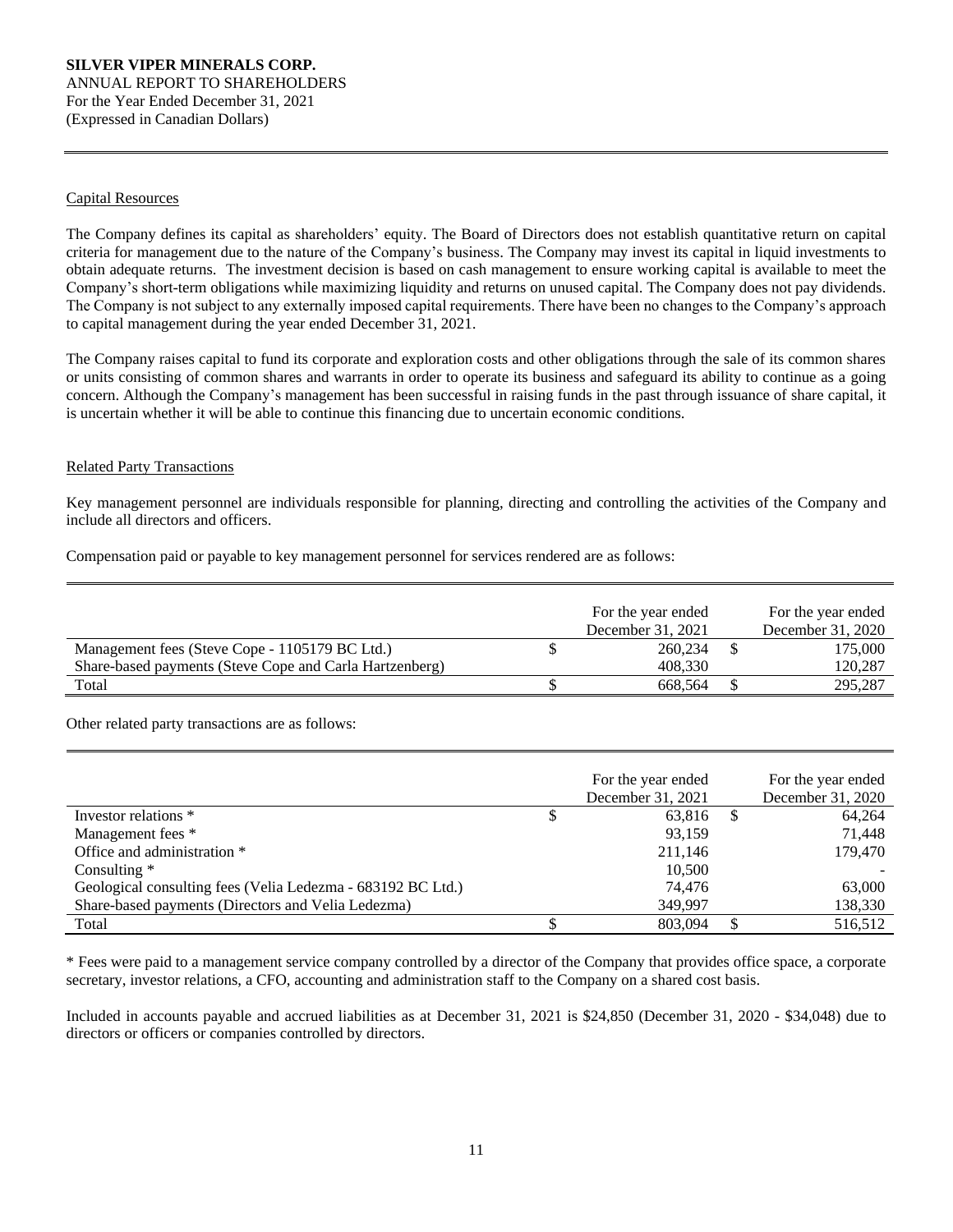# Capital Resources

The Company defines its capital as shareholders' equity. The Board of Directors does not establish quantitative return on capital criteria for management due to the nature of the Company's business. The Company may invest its capital in liquid investments to obtain adequate returns. The investment decision is based on cash management to ensure working capital is available to meet the Company's short-term obligations while maximizing liquidity and returns on unused capital. The Company does not pay dividends. The Company is not subject to any externally imposed capital requirements. There have been no changes to the Company's approach to capital management during the year ended December 31, 2021.

The Company raises capital to fund its corporate and exploration costs and other obligations through the sale of its common shares or units consisting of common shares and warrants in order to operate its business and safeguard its ability to continue as a going concern. Although the Company's management has been successful in raising funds in the past through issuance of share capital, it is uncertain whether it will be able to continue this financing due to uncertain economic conditions.

# Related Party Transactions

Key management personnel are individuals responsible for planning, directing and controlling the activities of the Company and include all directors and officers.

Compensation paid or payable to key management personnel for services rendered are as follows:

|                                                         | For the year ended<br>December 31, 2021 | For the year ended<br>December 31, 2020 |
|---------------------------------------------------------|-----------------------------------------|-----------------------------------------|
| Management fees (Steve Cope - 1105179 BC Ltd.)          | 260.234                                 | 175,000                                 |
| Share-based payments (Steve Cope and Carla Hartzenberg) | 408.330                                 | 120,287                                 |
| Total                                                   | 668.564                                 | 295.287                                 |

Other related party transactions are as follows:

|                                                             | For the year ended<br>December 31, 2021 |   | For the year ended<br>December 31, 2020 |
|-------------------------------------------------------------|-----------------------------------------|---|-----------------------------------------|
| Investor relations *                                        | 63.816                                  | S | 64,264                                  |
| Management fees *                                           | 93,159                                  |   | 71,448                                  |
| Office and administration *                                 | 211,146                                 |   | 179,470                                 |
| Consulting $*$                                              | 10,500                                  |   |                                         |
| Geological consulting fees (Velia Ledezma - 683192 BC Ltd.) | 74,476                                  |   | 63,000                                  |
| Share-based payments (Directors and Velia Ledezma)          | 349,997                                 |   | 138,330                                 |
| Total                                                       | 803,094                                 |   | 516,512                                 |

\* Fees were paid to a management service company controlled by a director of the Company that provides office space, a corporate secretary, investor relations, a CFO, accounting and administration staff to the Company on a shared cost basis.

Included in accounts payable and accrued liabilities as at December 31, 2021 is \$24,850 (December 31, 2020 - \$34,048) due to directors or officers or companies controlled by directors.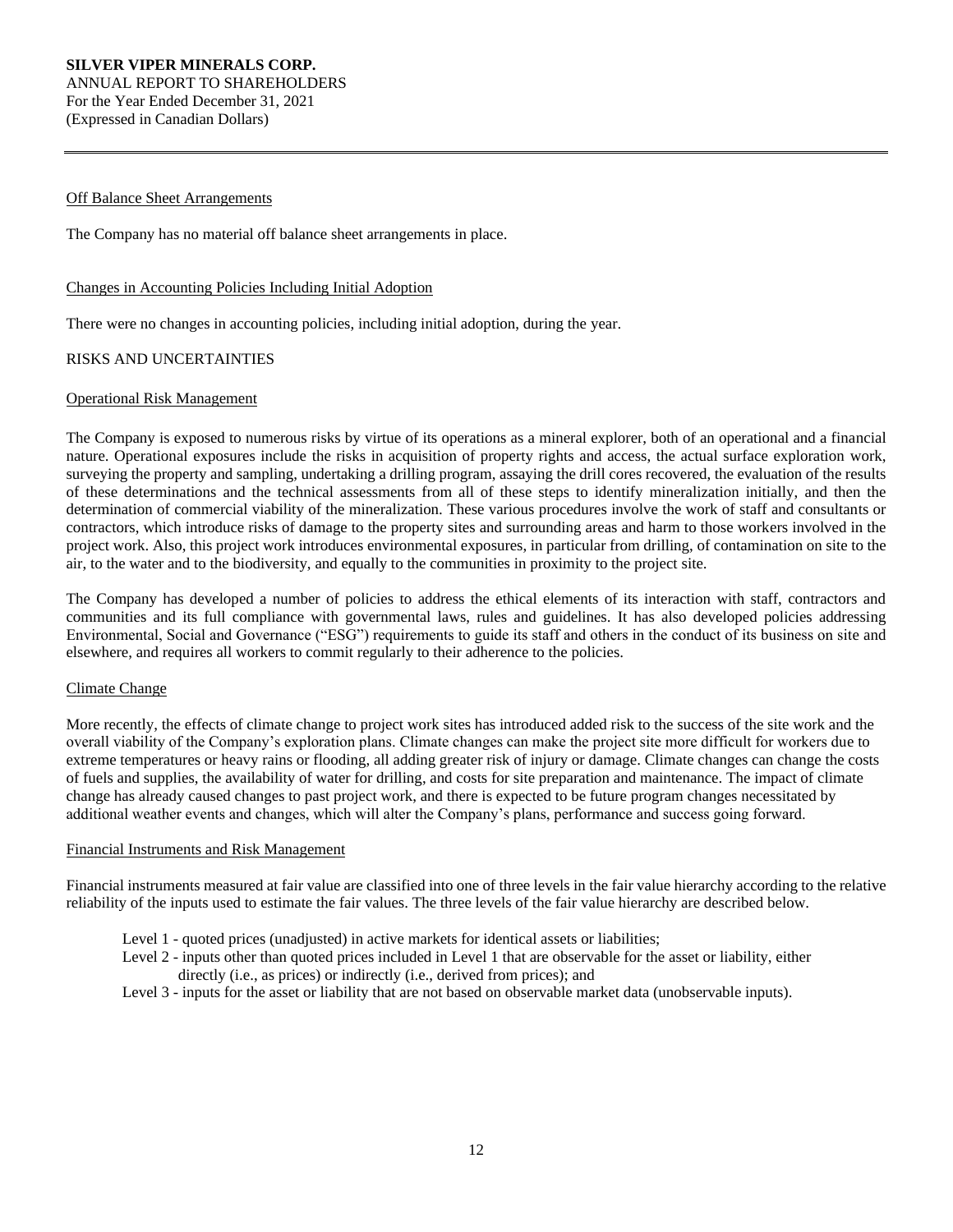#### Off Balance Sheet Arrangements

The Company has no material off balance sheet arrangements in place.

#### Changes in Accounting Policies Including Initial Adoption

There were no changes in accounting policies, including initial adoption, during the year.

#### RISKS AND UNCERTAINTIES

# Operational Risk Management

The Company is exposed to numerous risks by virtue of its operations as a mineral explorer, both of an operational and a financial nature. Operational exposures include the risks in acquisition of property rights and access, the actual surface exploration work, surveying the property and sampling, undertaking a drilling program, assaying the drill cores recovered, the evaluation of the results of these determinations and the technical assessments from all of these steps to identify mineralization initially, and then the determination of commercial viability of the mineralization. These various procedures involve the work of staff and consultants or contractors, which introduce risks of damage to the property sites and surrounding areas and harm to those workers involved in the project work. Also, this project work introduces environmental exposures, in particular from drilling, of contamination on site to the air, to the water and to the biodiversity, and equally to the communities in proximity to the project site.

The Company has developed a number of policies to address the ethical elements of its interaction with staff, contractors and communities and its full compliance with governmental laws, rules and guidelines. It has also developed policies addressing Environmental, Social and Governance ("ESG") requirements to guide its staff and others in the conduct of its business on site and elsewhere, and requires all workers to commit regularly to their adherence to the policies.

#### Climate Change

More recently, the effects of climate change to project work sites has introduced added risk to the success of the site work and the overall viability of the Company's exploration plans. Climate changes can make the project site more difficult for workers due to extreme temperatures or heavy rains or flooding, all adding greater risk of injury or damage. Climate changes can change the costs of fuels and supplies, the availability of water for drilling, and costs for site preparation and maintenance. The impact of climate change has already caused changes to past project work, and there is expected to be future program changes necessitated by additional weather events and changes, which will alter the Company's plans, performance and success going forward.

#### Financial Instruments and Risk Management

Financial instruments measured at fair value are classified into one of three levels in the fair value hierarchy according to the relative reliability of the inputs used to estimate the fair values. The three levels of the fair value hierarchy are described below.

- Level 1 quoted prices (unadjusted) in active markets for identical assets or liabilities;
- Level 2 inputs other than quoted prices included in Level 1 that are observable for the asset or liability, either directly (i.e., as prices) or indirectly (i.e., derived from prices); and
- Level 3 inputs for the asset or liability that are not based on observable market data (unobservable inputs).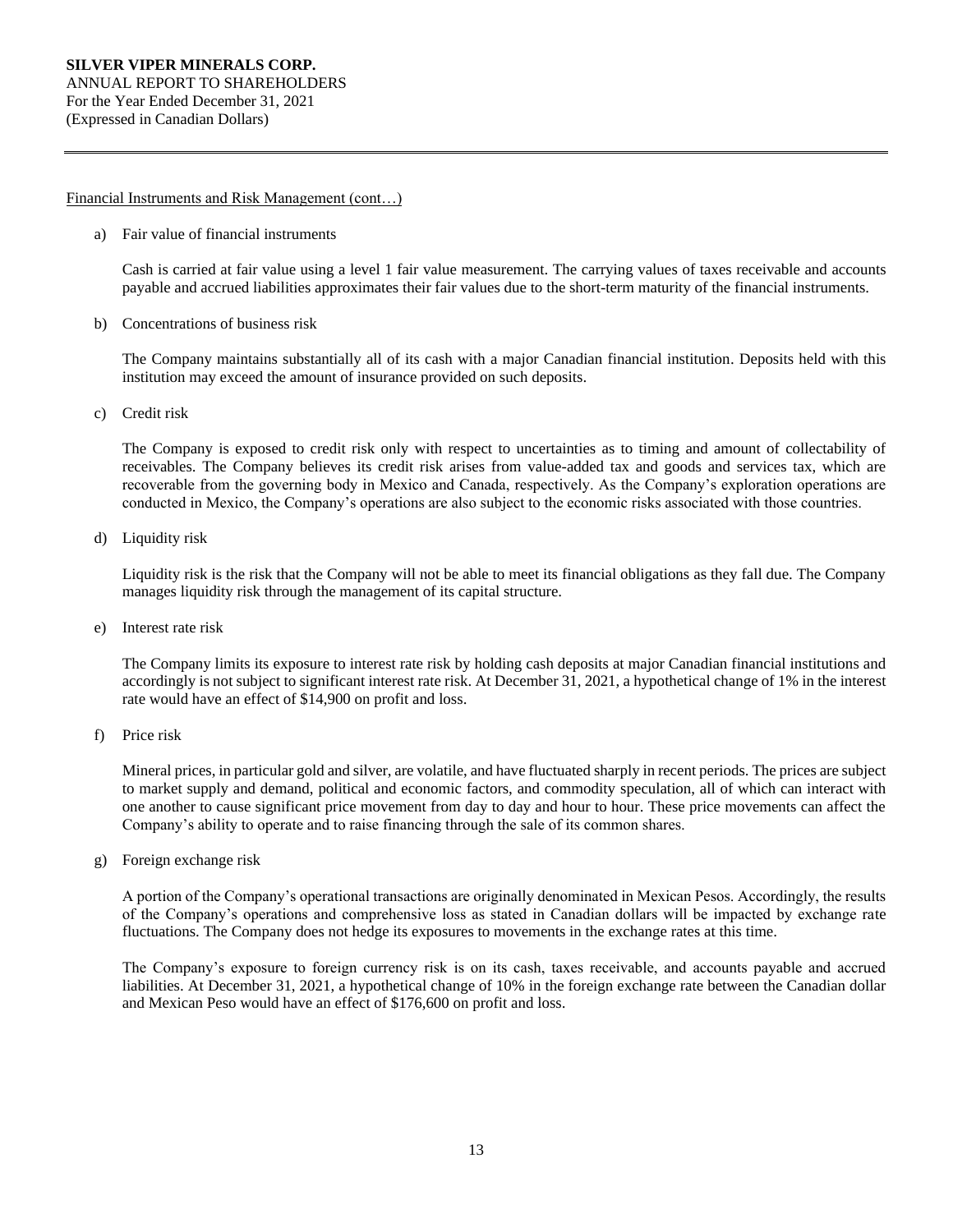#### Financial Instruments and Risk Management (cont…)

a) Fair value of financial instruments

Cash is carried at fair value using a level 1 fair value measurement. The carrying values of taxes receivable and accounts payable and accrued liabilities approximates their fair values due to the short-term maturity of the financial instruments.

b) Concentrations of business risk

The Company maintains substantially all of its cash with a major Canadian financial institution. Deposits held with this institution may exceed the amount of insurance provided on such deposits.

c) Credit risk

The Company is exposed to credit risk only with respect to uncertainties as to timing and amount of collectability of receivables. The Company believes its credit risk arises from value-added tax and goods and services tax, which are recoverable from the governing body in Mexico and Canada, respectively. As the Company's exploration operations are conducted in Mexico, the Company's operations are also subject to the economic risks associated with those countries.

d) Liquidity risk

Liquidity risk is the risk that the Company will not be able to meet its financial obligations as they fall due. The Company manages liquidity risk through the management of its capital structure.

e) Interest rate risk

The Company limits its exposure to interest rate risk by holding cash deposits at major Canadian financial institutions and accordingly is not subject to significant interest rate risk. At December 31, 2021, a hypothetical change of 1% in the interest rate would have an effect of \$14,900 on profit and loss.

f) Price risk

Mineral prices, in particular gold and silver, are volatile, and have fluctuated sharply in recent periods. The prices are subject to market supply and demand, political and economic factors, and commodity speculation, all of which can interact with one another to cause significant price movement from day to day and hour to hour. These price movements can affect the Company's ability to operate and to raise financing through the sale of its common shares.

g) Foreign exchange risk

A portion of the Company's operational transactions are originally denominated in Mexican Pesos. Accordingly, the results of the Company's operations and comprehensive loss as stated in Canadian dollars will be impacted by exchange rate fluctuations. The Company does not hedge its exposures to movements in the exchange rates at this time.

The Company's exposure to foreign currency risk is on its cash, taxes receivable, and accounts payable and accrued liabilities. At December 31, 2021, a hypothetical change of 10% in the foreign exchange rate between the Canadian dollar and Mexican Peso would have an effect of \$176,600 on profit and loss.